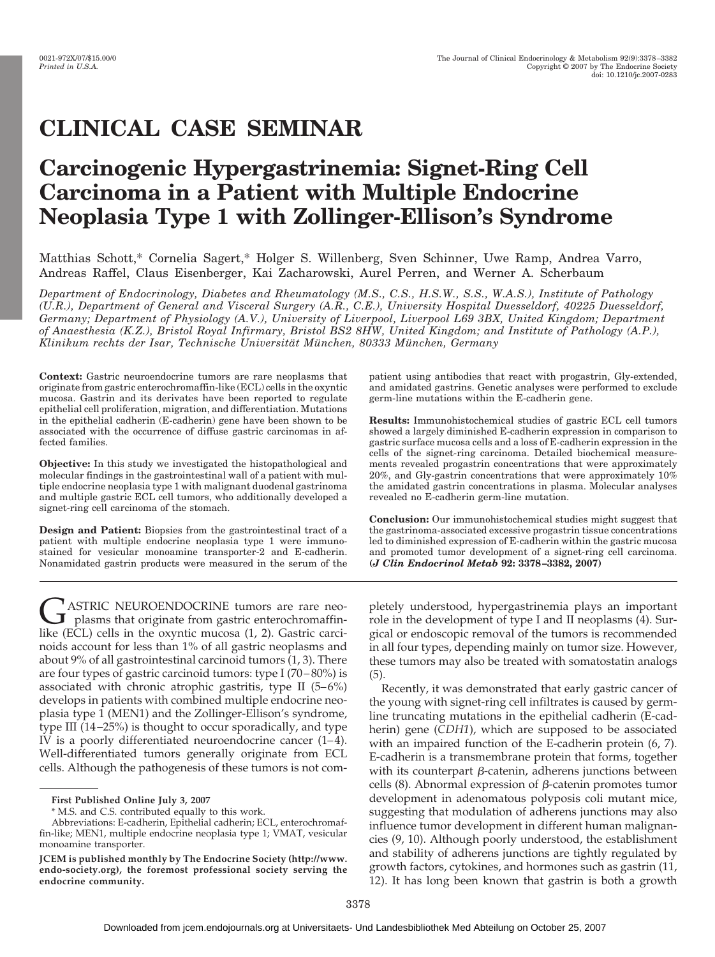# **CLINICAL CASE SEMINAR**

# **Carcinogenic Hypergastrinemia: Signet-Ring Cell Carcinoma in a Patient with Multiple Endocrine Neoplasia Type 1 with Zollinger-Ellison's Syndrome**

Matthias Schott,\* Cornelia Sagert,\* Holger S. Willenberg, Sven Schinner, Uwe Ramp, Andrea Varro, Andreas Raffel, Claus Eisenberger, Kai Zacharowski, Aurel Perren, and Werner A. Scherbaum

*Department of Endocrinology, Diabetes and Rheumatology (M.S., C.S., H.S.W., S.S., W.A.S.), Institute of Pathology (U.R.), Department of General and Visceral Surgery (A.R., C.E.), University Hospital Duesseldorf, 40225 Duesseldorf, Germany; Department of Physiology (A.V.), University of Liverpool, Liverpool L69 3BX, United Kingdom; Department of Anaesthesia (K.Z.), Bristol Royal Infirmary, Bristol BS2 8HW, United Kingdom; and Institute of Pathology (A.P.), Klinikum rechts der Isar, Technische Universita¨ t Mu¨ nchen, 80333 Mu¨ nchen, Germany*

**Context:** Gastric neuroendocrine tumors are rare neoplasms that originate from gastric enterochromaffin-like (ECL) cells in the oxyntic mucosa. Gastrin and its derivates have been reported to regulate epithelial cell proliferation, migration, and differentiation. Mutations in the epithelial cadherin (E-cadherin) gene have been shown to be associated with the occurrence of diffuse gastric carcinomas in affected families.

**Objective:** In this study we investigated the histopathological and molecular findings in the gastrointestinal wall of a patient with multiple endocrine neoplasia type 1 with malignant duodenal gastrinoma and multiple gastric ECL cell tumors, who additionally developed a signet-ring cell carcinoma of the stomach.

**Design and Patient:** Biopsies from the gastrointestinal tract of a patient with multiple endocrine neoplasia type 1 were immunostained for vesicular monoamine transporter-2 and E-cadherin. Nonamidated gastrin products were measured in the serum of the

 $\bigcup_{\text{plasm}}$  has that originate from gastric enterochromaffin-<br>like (ECL) cells in the exyptic muces (1, 2) Cestric exist like (ECL) cells in the oxyntic mucosa (1, 2). Gastric carcinoids account for less than 1% of all gastric neoplasms and about 9% of all gastrointestinal carcinoid tumors (1, 3). There are four types of gastric carcinoid tumors: type I (70 – 80%) is associated with chronic atrophic gastritis, type II  $(5-6%)$ develops in patients with combined multiple endocrine neoplasia type 1 (MEN1) and the Zollinger-Ellison's syndrome, type III (14 –25%) is thought to occur sporadically, and type IV is a poorly differentiated neuroendocrine cancer  $(1-4)$ . Well-differentiated tumors generally originate from ECL cells. Although the pathogenesis of these tumors is not com-

patient using antibodies that react with progastrin, Gly-extended, and amidated gastrins. Genetic analyses were performed to exclude germ-line mutations within the E-cadherin gene.

**Results:** Immunohistochemical studies of gastric ECL cell tumors showed a largely diminished E-cadherin expression in comparison to gastric surface mucosa cells and a loss of E-cadherin expression in the cells of the signet-ring carcinoma. Detailed biochemical measurements revealed progastrin concentrations that were approximately 20%, and Gly-gastrin concentrations that were approximately 10% the amidated gastrin concentrations in plasma. Molecular analyses revealed no E-cadherin germ-line mutation.

**Conclusion:** Our immunohistochemical studies might suggest that the gastrinoma-associated excessive progastrin tissue concentrations led to diminished expression of E-cadherin within the gastric mucosa and promoted tumor development of a signet-ring cell carcinoma. **(***J Clin Endocrinol Metab* **92: 3378 –3382, 2007)**

pletely understood, hypergastrinemia plays an important role in the development of type I and II neoplasms (4). Surgical or endoscopic removal of the tumors is recommended in all four types, depending mainly on tumor size. However, these tumors may also be treated with somatostatin analogs (5).

Recently, it was demonstrated that early gastric cancer of the young with signet-ring cell infiltrates is caused by germline truncating mutations in the epithelial cadherin (E-cadherin) gene (*CDH1*), which are supposed to be associated with an impaired function of the E-cadherin protein (6, 7). E-cadherin is a transmembrane protein that forms, together with its counterpart  $\beta$ -catenin, adherens junctions between cells  $(8)$ . Abnormal expression of  $\beta$ -catenin promotes tumor development in adenomatous polyposis coli mutant mice, suggesting that modulation of adherens junctions may also influence tumor development in different human malignancies (9, 10). Although poorly understood, the establishment and stability of adherens junctions are tightly regulated by growth factors, cytokines, and hormones such as gastrin (11, 12). It has long been known that gastrin is both a growth

**First Published Online July 3, 2007**

<sup>\*</sup> M.S. and C.S. contributed equally to this work.

Abbreviations: E-cadherin, Epithelial cadherin; ECL, enterochromaffin-like; MEN1, multiple endocrine neoplasia type 1; VMAT, vesicular monoamine transporter.

**JCEM is published monthly by The Endocrine Society (http://www. endo-society.org), the foremost professional society serving the endocrine community.**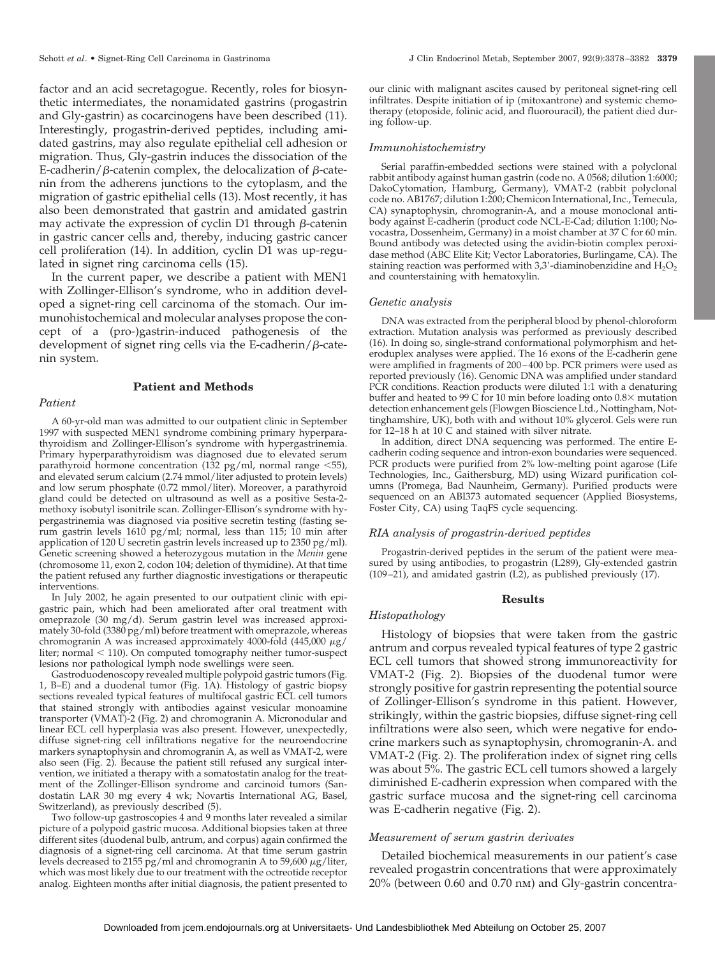factor and an acid secretagogue. Recently, roles for biosynthetic intermediates, the nonamidated gastrins (progastrin and Gly-gastrin) as cocarcinogens have been described (11). Interestingly, progastrin-derived peptides, including amidated gastrins, may also regulate epithelial cell adhesion or migration. Thus, Gly-gastrin induces the dissociation of the E-cadherin/ $\beta$ -catenin complex, the delocalization of  $\beta$ -catenin from the adherens junctions to the cytoplasm, and the migration of gastric epithelial cells (13). Most recently, it has also been demonstrated that gastrin and amidated gastrin may activate the expression of cyclin D1 through  $\beta$ -catenin in gastric cancer cells and, thereby, inducing gastric cancer cell proliferation (14). In addition, cyclin D1 was up-regulated in signet ring carcinoma cells (15).

In the current paper, we describe a patient with MEN1 with Zollinger-Ellison's syndrome, who in addition developed a signet-ring cell carcinoma of the stomach. Our immunohistochemical and molecular analyses propose the concept of a (pro-)gastrin-induced pathogenesis of the development of signet ring cells via the E-cadherin/ $\beta$ -catenin system.

# **Patient and Methods**

# *Patient*

A 60-yr-old man was admitted to our outpatient clinic in September 1997 with suspected MEN1 syndrome combining primary hyperparathyroidism and Zollinger-Ellison's syndrome with hypergastrinemia. Primary hyperparathyroidism was diagnosed due to elevated serum parathyroid hormone concentration (132 pg/ml, normal range  $\leq 55$ ), and elevated serum calcium (2.74 mmol/liter adjusted to protein levels) and low serum phosphate (0.72 mmol/liter). Moreover, a parathyroid gland could be detected on ultrasound as well as a positive Sesta-2 methoxy isobutyl isonitrile scan. Zollinger-Ellison's syndrome with hypergastrinemia was diagnosed via positive secretin testing (fasting serum gastrin levels 1610 pg/ml; normal, less than 115; 10 min after application of 120 U secretin gastrin levels increased up to 2350 pg/ml). Genetic screening showed a heterozygous mutation in the *Menin* gene (chromosome 11, exon 2, codon 104; deletion of thymidine). At that time the patient refused any further diagnostic investigations or therapeutic interventions.

In July 2002, he again presented to our outpatient clinic with epigastric pain, which had been ameliorated after oral treatment with omeprazole (30 mg/d). Serum gastrin level was increased approximately 30-fold (3380 pg/ml) before treatment with omeprazole, whereas chromogranin A was increased approximately 4000-fold (445,000  $\mu$ g/ liter; normal  $<$  110). On computed tomography neither tumor-suspect lesions nor pathological lymph node swellings were seen.

Gastroduodenoscopy revealed multiple polypoid gastric tumors (Fig. 1, B–E) and a duodenal tumor (Fig. 1A). Histology of gastric biopsy sections revealed typical features of multifocal gastric ECL cell tumors that stained strongly with antibodies against vesicular monoamine transporter (VMAT)-2 (Fig. 2) and chromogranin A. Micronodular and linear ECL cell hyperplasia was also present. However, unexpectedly, diffuse signet-ring cell infiltrations negative for the neuroendocrine markers synaptophysin and chromogranin A, as well as VMAT-2, were also seen (Fig. 2). Because the patient still refused any surgical intervention, we initiated a therapy with a somatostatin analog for the treatment of the Zollinger-Ellison syndrome and carcinoid tumors (Sandostatin LAR 30 mg every 4 wk; Novartis International AG, Basel, Switzerland), as previously described (5).

Two follow-up gastroscopies 4 and 9 months later revealed a similar picture of a polypoid gastric mucosa. Additional biopsies taken at three different sites (duodenal bulb, antrum, and corpus) again confirmed the diagnosis of a signet-ring cell carcinoma. At that time serum gastrin levels decreased to 2155 pg/ml and chromogranin A to 59,600  $\mu$ g/liter, which was most likely due to our treatment with the octreotide receptor analog. Eighteen months after initial diagnosis, the patient presented to

our clinic with malignant ascites caused by peritoneal signet-ring cell infiltrates. Despite initiation of ip (mitoxantrone) and systemic chemotherapy (etoposide, folinic acid, and fluorouracil), the patient died during follow-up.

### *Immunohistochemistry*

Serial paraffin-embedded sections were stained with a polyclonal rabbit antibody against human gastrin (code no. A 0568; dilution 1:6000; DakoCytomation, Hamburg, Germany), VMAT-2 (rabbit polyclonal code no. AB1767; dilution 1:200; Chemicon International, Inc., Temecula, CA) synaptophysin, chromogranin-A, and a mouse monoclonal antibody against E-cadherin (product code NCL-E-Cad; dilution 1:100; Novocastra, Dossenheim, Germany) in a moist chamber at 37 C for 60 min. Bound antibody was detected using the avidin-biotin complex peroxidase method (ABC Elite Kit; Vector Laboratories, Burlingame, CA). The staining reaction was performed with 3,3'-diaminobenzidine and  $H_2O_2$ and counterstaining with hematoxylin.

### *Genetic analysis*

DNA was extracted from the peripheral blood by phenol-chloroform extraction. Mutation analysis was performed as previously described (16). In doing so, single-strand conformational polymorphism and heteroduplex analyses were applied. The 16 exons of the E-cadherin gene were amplified in fragments of 200-400 bp. PCR primers were used as reported previously (16). Genomic DNA was amplified under standard PCR conditions. Reaction products were diluted 1:1 with a denaturing buffer and heated to 99 C for 10 min before loading onto  $0.8\times$  mutation detection enhancement gels (Flowgen Bioscience Ltd., Nottingham, Nottinghamshire, UK), both with and without 10% glycerol. Gels were run for 12–18 h at 10 C and stained with silver nitrate.

In addition, direct DNA sequencing was performed. The entire Ecadherin coding sequence and intron-exon boundaries were sequenced. PCR products were purified from 2% low-melting point agarose (Life Technologies, Inc., Gaithersburg, MD) using Wizard purification columns (Promega, Bad Naunheim, Germany). Purified products were sequenced on an ABI373 automated sequencer (Applied Biosystems, Foster City, CA) using TaqFS cycle sequencing.

### *RIA analysis of progastrin-derived peptides*

Progastrin-derived peptides in the serum of the patient were measured by using antibodies, to progastrin (L289), Gly-extended gastrin (109 –21), and amidated gastrin (L2), as published previously (17).

# **Results**

# *Histopathology*

Histology of biopsies that were taken from the gastric antrum and corpus revealed typical features of type 2 gastric ECL cell tumors that showed strong immunoreactivity for VMAT-2 (Fig. 2). Biopsies of the duodenal tumor were strongly positive for gastrin representing the potential source of Zollinger-Ellison's syndrome in this patient. However, strikingly, within the gastric biopsies, diffuse signet-ring cell infiltrations were also seen, which were negative for endocrine markers such as synaptophysin, chromogranin-A. and VMAT-2 (Fig. 2). The proliferation index of signet ring cells was about 5%. The gastric ECL cell tumors showed a largely diminished E-cadherin expression when compared with the gastric surface mucosa and the signet-ring cell carcinoma was E-cadherin negative (Fig. 2).

#### *Measurement of serum gastrin derivates*

Detailed biochemical measurements in our patient's case revealed progastrin concentrations that were approximately 20% (between 0.60 and 0.70 nm) and Gly-gastrin concentra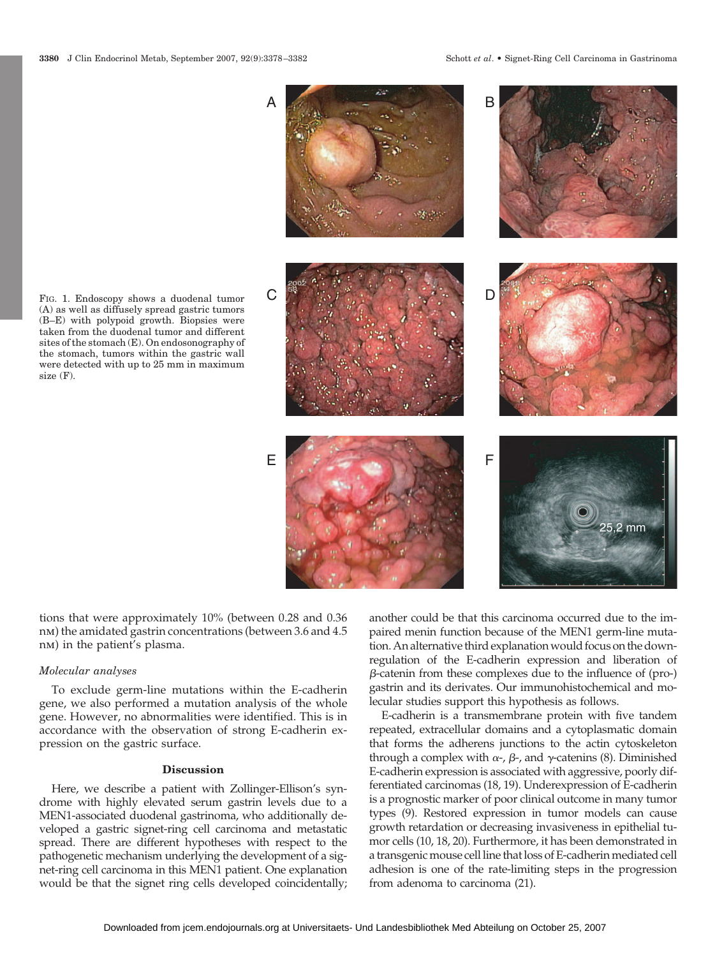A

B



FIG. 1. Endoscopy shows a duodenal tumor (A) as well as diffusely spread gastric tumors (B–E) with polypoid growth. Biopsies were taken from the duodenal tumor and different sites of the stomach (E). On endosonography of the stomach, tumors within the gastric wall were detected with up to 25 mm in maximum size (F).

tions that were approximately 10% (between 0.28 and 0.36 nm) the amidated gastrin concentrations (between 3.6 and 4.5 nm) in the patient's plasma.

## *Molecular analyses*

To exclude germ-line mutations within the E-cadherin gene, we also performed a mutation analysis of the whole gene. However, no abnormalities were identified. This is in accordance with the observation of strong E-cadherin expression on the gastric surface.

# **Discussion**

Here, we describe a patient with Zollinger-Ellison's syndrome with highly elevated serum gastrin levels due to a MEN1-associated duodenal gastrinoma, who additionally developed a gastric signet-ring cell carcinoma and metastatic spread. There are different hypotheses with respect to the pathogenetic mechanism underlying the development of a signet-ring cell carcinoma in this MEN1 patient. One explanation would be that the signet ring cells developed coincidentally; another could be that this carcinoma occurred due to the impaired menin function because of the MEN1 germ-line mutation. An alternative third explanation would focus on the downregulation of the E-cadherin expression and liberation of  $\beta$ -catenin from these complexes due to the influence of (pro-) gastrin and its derivates. Our immunohistochemical and molecular studies support this hypothesis as follows.

E-cadherin is a transmembrane protein with five tandem repeated, extracellular domains and a cytoplasmatic domain that forms the adherens junctions to the actin cytoskeleton through a complex with  $\alpha$ -,  $\beta$ -, and  $\gamma$ -catenins (8). Diminished E-cadherin expression is associated with aggressive, poorly differentiated carcinomas (18, 19). Underexpression of E-cadherin is a prognostic marker of poor clinical outcome in many tumor types (9). Restored expression in tumor models can cause growth retardation or decreasing invasiveness in epithelial tumor cells (10, 18, 20). Furthermore, it has been demonstrated in a transgenic mouse cell line that loss of E-cadherin mediated cell adhesion is one of the rate-limiting steps in the progression from adenoma to carcinoma (21).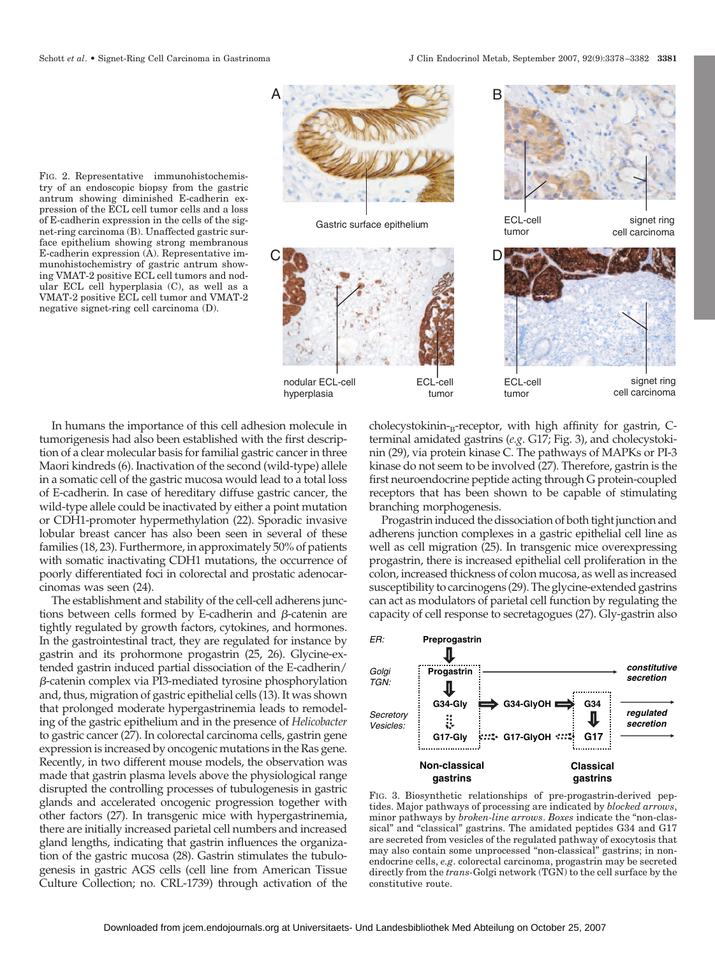FIG. 2. Representative immunohistochemistry of an endoscopic biopsy from the gastric antrum showing diminished E-cadherin expression of the ECL cell tumor cells and a loss of E-cadherin expression in the cells of the signet-ring carcinoma (B). Unaffected gastric surface epithelium showing strong membranous E-cadherin expression (A). Representative immunohistochemistry of gastric antrum showing VMAT-2 positive ECL cell tumors and nodular ECL cell hyperplasia (C), as well as a VMAT-2 positive ECL cell tumor and VMAT-2 negative signet-ring cell carcinoma (D).



Gastric surface epithelium ECL-cell



tumor





In humans the importance of this cell adhesion molecule in tumorigenesis had also been established with the first description of a clear molecular basis for familial gastric cancer in three Maori kindreds (6). Inactivation of the second (wild-type) allele in a somatic cell of the gastric mucosa would lead to a total loss of E-cadherin. In case of hereditary diffuse gastric cancer, the wild-type allele could be inactivated by either a point mutation or CDH1-promoter hypermethylation (22). Sporadic invasive lobular breast cancer has also been seen in several of these families (18, 23). Furthermore, in approximately 50% of patients with somatic inactivating CDH1 mutations, the occurrence of poorly differentiated foci in colorectal and prostatic adenocarcinomas was seen (24).

The establishment and stability of the cell-cell adherens junctions between cells formed by E-cadherin and  $\beta$ -catenin are tightly regulated by growth factors, cytokines, and hormones. In the gastrointestinal tract, they are regulated for instance by gastrin and its prohormone progastrin (25, 26). Glycine-extended gastrin induced partial dissociation of the E-cadherin/ -catenin complex via PI3-mediated tyrosine phosphorylation and, thus, migration of gastric epithelial cells (13). It was shown that prolonged moderate hypergastrinemia leads to remodeling of the gastric epithelium and in the presence of *Helicobacter* to gastric cancer (27). In colorectal carcinoma cells, gastrin gene expression is increased by oncogenic mutations in the Ras gene. Recently, in two different mouse models, the observation was made that gastrin plasma levels above the physiological range disrupted the controlling processes of tubulogenesis in gastric glands and accelerated oncogenic progression together with other factors (27). In transgenic mice with hypergastrinemia, there are initially increased parietal cell numbers and increased gland lengths, indicating that gastrin influences the organization of the gastric mucosa (28). Gastrin stimulates the tubulogenesis in gastric AGS cells (cell line from American Tissue Culture Collection; no. CRL-1739) through activation of the cholecystokinin- $B$ -receptor, with high affinity for gastrin, Cterminal amidated gastrins (*e.g*. G17; Fig. 3), and cholecystokinin (29), via protein kinase C. The pathways of MAPKs or PI-3 kinase do not seem to be involved (27). Therefore, gastrin is the first neuroendocrine peptide acting through G protein-coupled receptors that has been shown to be capable of stimulating branching morphogenesis.

Progastrin induced the dissociation of both tight junction and adherens junction complexes in a gastric epithelial cell line as well as cell migration (25). In transgenic mice overexpressing progastrin, there is increased epithelial cell proliferation in the colon, increased thickness of colon mucosa, as well as increased susceptibility to carcinogens (29). The glycine-extended gastrins can act as modulators of parietal cell function by regulating the capacity of cell response to secretagogues (27). Gly-gastrin also



FIG. 3. Biosynthetic relationships of pre-progastrin-derived peptides. Major pathways of processing are indicated by *blocked arrows*, minor pathways by *broken-line arrows*. *Boxes* indicate the "non-classical" and "classical" gastrins. The amidated peptides G34 and G17 are secreted from vesicles of the regulated pathway of exocytosis that may also contain some unprocessed "non-classical" gastrins; in nonendocrine cells, *e.g*. colorectal carcinoma, progastrin may be secreted directly from the *trans-*Golgi network (TGN) to the cell surface by the constitutive route.